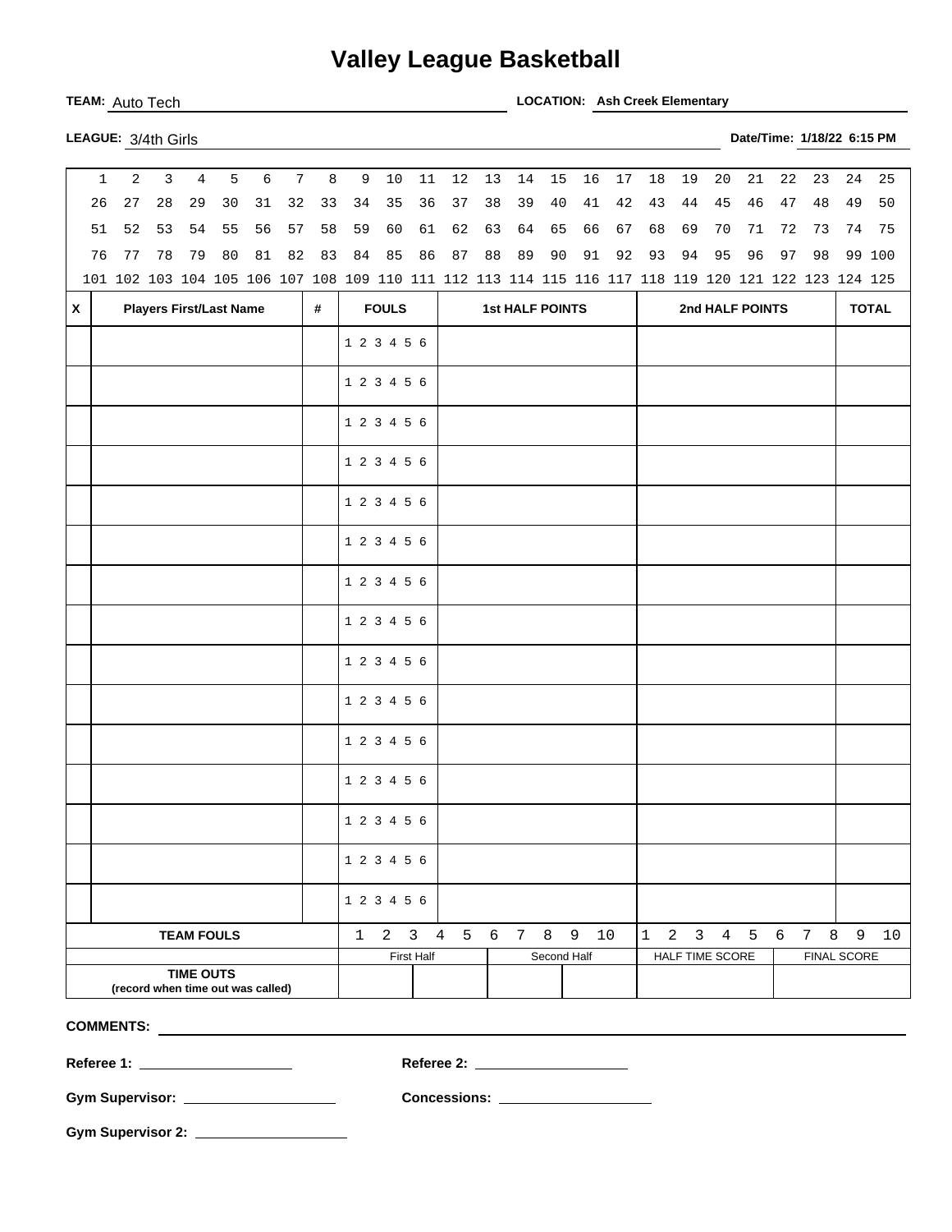## **Valley League Basketball**

TEAM: Auto Tech **LOCATION: Ash Creek Elementary** 

|   | $\mathbf{1}$ | 2  | 3  | $\overline{4}$                    | 5  | $\epsilon$ | $7\overline{ }$ | 8                                                                                                   | 9            | 10           | $11\,$            | 12                               | 13     | 14                     | 15          | 16 | 17   | 18           | 19             | 20              | 21              | 22 | 23                        | 24          | 25           |
|---|--------------|----|----|-----------------------------------|----|------------|-----------------|-----------------------------------------------------------------------------------------------------|--------------|--------------|-------------------|----------------------------------|--------|------------------------|-------------|----|------|--------------|----------------|-----------------|-----------------|----|---------------------------|-------------|--------------|
|   | 26           | 27 | 28 | 29                                | 30 | 31         | 32              | 33                                                                                                  | 34           | 35           | 36                | $37$                             | $38\,$ | 39                     | 40          | 41 | 42   | 43           | 44             | 45              | 46              | 47 | 48                        | 49          | 50           |
|   | 51           | 52 | 53 | 54                                | 55 | 56         | 57              | 58                                                                                                  | 59           | 60           | 61                | 62                               | 63     | 64                     | 65          | 66 | 67   | 68           | 69             | 70              | 71              | 72 | 73                        | 74          | 75           |
|   | 76           | 77 | 78 | 79                                | 80 | $8\,1$     | 82              | 83                                                                                                  | 84           | 85           | 86                | 87                               | 88     | 89                     | 90          | 91 | 92   | 93           | 94             | 95              | 96              | 97 | 98                        |             | 99 100       |
|   |              |    |    |                                   |    |            |                 | 101 102 103 104 105 106 107 108 109 110 111 112 113 114 115 116 117 118 119 120 121 122 123 124 125 |              |              |                   |                                  |        |                        |             |    |      |              |                |                 |                 |    |                           |             |              |
| X |              |    |    | <b>Players First/Last Name</b>    |    |            |                 | #                                                                                                   |              | <b>FOULS</b> |                   |                                  |        | <b>1st HALF POINTS</b> |             |    |      |              |                |                 | 2nd HALF POINTS |    |                           |             | <b>TOTAL</b> |
|   |              |    |    |                                   |    |            |                 |                                                                                                     | 1 2 3 4 5 6  |              |                   |                                  |        |                        |             |    |      |              |                |                 |                 |    |                           |             |              |
|   |              |    |    |                                   |    |            |                 |                                                                                                     | 1 2 3 4 5 6  |              |                   |                                  |        |                        |             |    |      |              |                |                 |                 |    |                           |             |              |
|   |              |    |    |                                   |    |            |                 |                                                                                                     |              |              |                   |                                  |        |                        |             |    |      |              |                |                 |                 |    |                           |             |              |
|   |              |    |    |                                   |    |            |                 |                                                                                                     | 1 2 3 4 5 6  |              |                   |                                  |        |                        |             |    |      |              |                |                 |                 |    |                           |             |              |
|   |              |    |    |                                   |    |            |                 |                                                                                                     | 1 2 3 4 5 6  |              |                   |                                  |        |                        |             |    |      |              |                |                 |                 |    |                           |             |              |
|   |              |    |    |                                   |    |            |                 |                                                                                                     | 1 2 3 4 5 6  |              |                   |                                  |        |                        |             |    |      |              |                |                 |                 |    |                           |             |              |
|   |              |    |    |                                   |    |            |                 |                                                                                                     | 1 2 3 4 5 6  |              |                   |                                  |        |                        |             |    |      |              |                |                 |                 |    |                           |             |              |
|   |              |    |    |                                   |    |            |                 |                                                                                                     | 1 2 3 4 5 6  |              |                   |                                  |        |                        |             |    |      |              |                |                 |                 |    |                           |             |              |
|   |              |    |    |                                   |    |            |                 |                                                                                                     | 1 2 3 4 5 6  |              |                   |                                  |        |                        |             |    |      |              |                |                 |                 |    |                           |             |              |
|   |              |    |    |                                   |    |            |                 |                                                                                                     | 1 2 3 4 5 6  |              |                   |                                  |        |                        |             |    |      |              |                |                 |                 |    |                           |             |              |
|   |              |    |    |                                   |    |            |                 |                                                                                                     | 1 2 3 4 5 6  |              |                   |                                  |        |                        |             |    |      |              |                |                 |                 |    |                           |             |              |
|   |              |    |    |                                   |    |            |                 |                                                                                                     | 1 2 3 4 5 6  |              |                   |                                  |        |                        |             |    |      |              |                |                 |                 |    |                           |             |              |
|   |              |    |    |                                   |    |            |                 |                                                                                                     | 1 2 3 4 5 6  |              |                   |                                  |        |                        |             |    |      |              |                |                 |                 |    |                           |             |              |
|   |              |    |    |                                   |    |            |                 |                                                                                                     | 1 2 3 4 5 6  |              |                   |                                  |        |                        |             |    |      |              |                |                 |                 |    |                           |             |              |
|   |              |    |    |                                   |    |            |                 |                                                                                                     | 1 2 3 4 5 6  |              |                   |                                  |        |                        |             |    |      |              |                |                 |                 |    |                           |             |              |
|   |              |    |    |                                   |    |            |                 |                                                                                                     | 1 2 3 4 5 6  |              |                   |                                  |        |                        |             |    |      |              |                |                 |                 |    |                           |             |              |
|   |              |    |    | <b>TEAM FOULS</b>                 |    |            |                 |                                                                                                     | $\mathbf{1}$ | $2 \quad 3$  |                   | $\overline{4}$<br>5 <sub>5</sub> |        | 6 7                    | 8           | 9  | $10$ | $\mathbf{1}$ | $\overline{a}$ | 3 <sup>7</sup>  | 4 5             | 6  | $\,8\,$<br>7 <sup>7</sup> | $\mathsf 9$ | $10$         |
|   |              |    |    |                                   |    |            |                 |                                                                                                     |              |              | <b>First Half</b> |                                  |        |                        | Second Half |    |      |              |                | HALF TIME SCORE |                 |    | <b>FINAL SCORE</b>        |             |              |
|   |              |    |    | <b>TIME OUTS</b>                  |    |            |                 |                                                                                                     |              |              |                   |                                  |        |                        |             |    |      |              |                |                 |                 |    |                           |             |              |
|   |              |    |    | (record when time out was called) |    |            |                 |                                                                                                     |              |              |                   |                                  |        |                        |             |    |      |              |                |                 |                 |    |                           |             |              |

**COMMENTS:** 

**Referee 1: Referee 2:** 

**Gym Supervisor: Concessions:** 

**Gym Supervisor 2:**